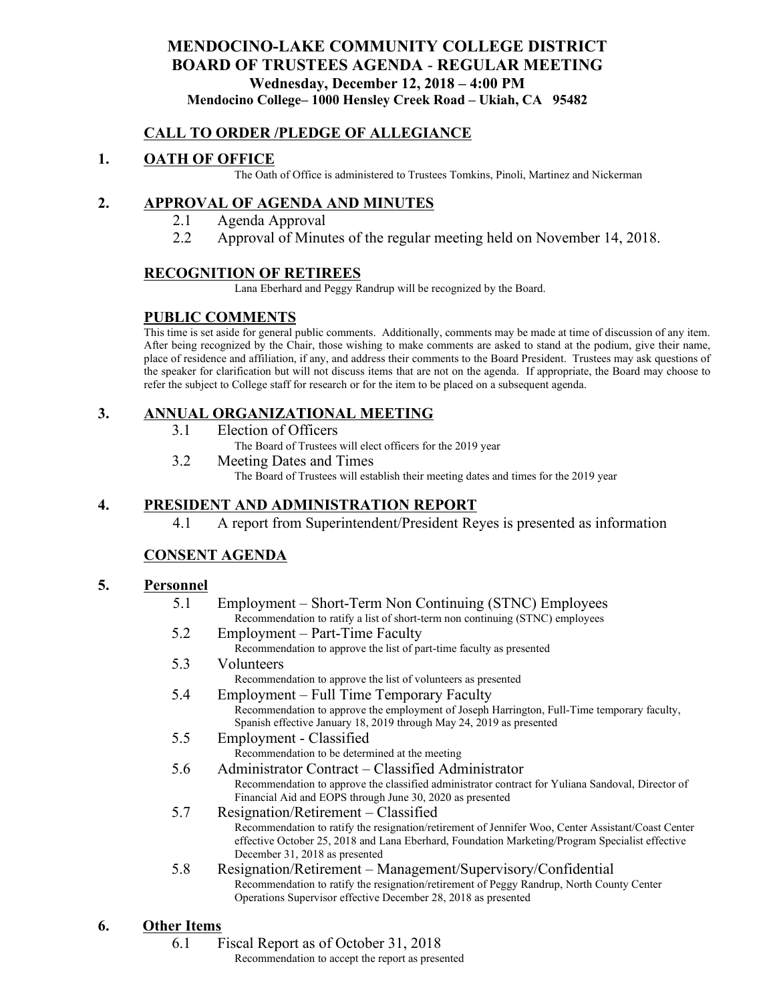## **MENDOCINO-LAKE COMMUNITY COLLEGE DISTRICT BOARD OF TRUSTEES AGENDA** - **REGULAR MEETING Wednesday, December 12, 2018 – 4:00 PM Mendocino College– 1000 Hensley Creek Road – Ukiah, CA 95482**

### **CALL TO ORDER /PLEDGE OF ALLEGIANCE**

## **1. OATH OF OFFICE**

The Oath of Office is administered to Trustees Tomkins, Pinoli, Martinez and Nickerman

### **2. APPROVAL OF AGENDA AND MINUTES**

- 2.1 Agenda Approval
- 2.2 Approval of Minutes of the regular meeting held on November 14, 2018.

### **RECOGNITION OF RETIREES**

Lana Eberhard and Peggy Randrup will be recognized by the Board.

### **PUBLIC COMMENTS**

This time is set aside for general public comments. Additionally, comments may be made at time of discussion of any item. After being recognized by the Chair, those wishing to make comments are asked to stand at the podium, give their name, place of residence and affiliation, if any, and address their comments to the Board President. Trustees may ask questions of the speaker for clarification but will not discuss items that are not on the agenda. If appropriate, the Board may choose to refer the subject to College staff for research or for the item to be placed on a subsequent agenda.

## **3. ANNUAL ORGANIZATIONAL MEETING**

3.1 Election of Officers

The Board of Trustees will elect officers for the 2019 year

3.2 Meeting Dates and Times

The Board of Trustees will establish their meeting dates and times for the 2019 year

## **4. PRESIDENT AND ADMINISTRATION REPORT**

4.1 A report from Superintendent/President Reyes is presented as information

## **CONSENT AGENDA**

### **5. Personnel**

- 5.1 Employment Short-Term Non Continuing (STNC) Employees Recommendation to ratify a list of short-term non continuing (STNC) employees
- 5.2 Employment Part-Time Faculty Recommendation to approve the list of part-time faculty as presented
- 5.3 Volunteers Recommendation to approve the list of volunteers as presented
- 5.4 Employment Full Time Temporary Faculty Recommendation to approve the employment of Joseph Harrington, Full-Time temporary faculty, Spanish effective January 18, 2019 through May 24, 2019 as presented
- 5.5 Employment Classified Recommendation to be determined at the meeting
- 5.6 Administrator Contract Classified Administrator Recommendation to approve the classified administrator contract for Yuliana Sandoval, Director of Financial Aid and EOPS through June 30, 2020 as presented
- 5.7 Resignation/Retirement Classified Recommendation to ratify the resignation/retirement of Jennifer Woo, Center Assistant/Coast Center effective October 25, 2018 and Lana Eberhard, Foundation Marketing/Program Specialist effective December 31, 2018 as presented
- 5.8 Resignation/Retirement Management/Supervisory/Confidential Recommendation to ratify the resignation/retirement of Peggy Randrup, North County Center Operations Supervisor effective December 28, 2018 as presented

## **6. Other Items**

6.1 Fiscal Report as of October 31, 2018

Recommendation to accept the report as presented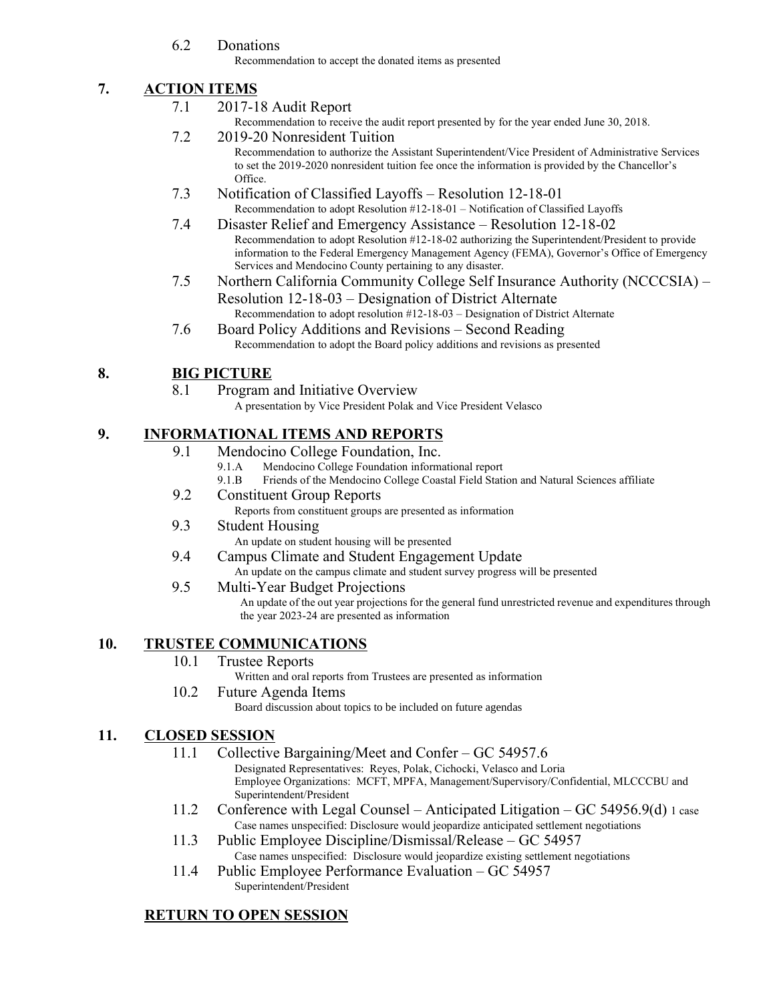6.2 Donations

Recommendation to accept the donated items as presented

## **7. ACTION ITEMS**

### 7.1 2017-18 Audit Report

Recommendation to receive the audit report presented by for the year ended June 30, 2018.

- 7.2 2019-20 Nonresident Tuition Recommendation to authorize the Assistant Superintendent/Vice President of Administrative Services to set the 2019-2020 nonresident tuition fee once the information is provided by the Chancellor's Office.
- 7.3 Notification of Classified Layoffs Resolution 12-18-01 Recommendation to adopt Resolution #12-18-01 – Notification of Classified Layoffs
- 7.4 Disaster Relief and Emergency Assistance Resolution 12-18-02 Recommendation to adopt Resolution #12-18-02 authorizing the Superintendent/President to provide information to the Federal Emergency Management Agency (FEMA), Governor's Office of Emergency Services and Mendocino County pertaining to any disaster.
- 7.5 Northern California Community College Self Insurance Authority (NCCCSIA) Resolution 12-18-03 – Designation of District Alternate Recommendation to adopt resolution #12-18-03 – Designation of District Alternate
- 7.6 Board Policy Additions and Revisions Second Reading Recommendation to adopt the Board policy additions and revisions as presented

# **8. BIG PICTURE**

8.1 Program and Initiative Overview

A presentation by Vice President Polak and Vice President Velasco

# **9. INFORMATIONAL ITEMS AND REPORTS**

- 9.1 Mendocino College Foundation, Inc.
	- 9.1.A Mendocino College Foundation informational report
	- 9.1.B Friends of the Mendocino College Coastal Field Station and Natural Sciences affiliate
- 9.2 Constituent Group Reports

Reports from constituent groups are presented as information

## 9.3 Student Housing

An update on student housing will be presented

9.4 Campus Climate and Student Engagement Update An update on the campus climate and student survey progress will be presented

### 9.5 Multi-Year Budget Projections

An update of the out year projections for the general fund unrestricted revenue and expenditures through the year 2023-24 are presented as information

# **10. TRUSTEE COMMUNICATIONS**

10.1 Trustee Reports

Written and oral reports from Trustees are presented as information

#### 10.2 Future Agenda Items Board discussion about topics to be included on future agendas

# **11. CLOSED SESSION**

- 11.1 Collective Bargaining/Meet and Confer GC 54957.6 Designated Representatives: Reyes, Polak, Cichocki, Velasco and Loria Employee Organizations: MCFT, MPFA, Management/Supervisory/Confidential, MLCCCBU and Superintendent/President
- 11.2 Conference with Legal Counsel Anticipated Litigation GC 54956.9(d) 1 case Case names unspecified: Disclosure would jeopardize anticipated settlement negotiations
- 11.3 Public Employee Discipline/Dismissal/Release GC 54957 Case names unspecified: Disclosure would jeopardize existing settlement negotiations
- 11.4 Public Employee Performance Evaluation GC 54957 Superintendent/President

# **RETURN TO OPEN SESSION**